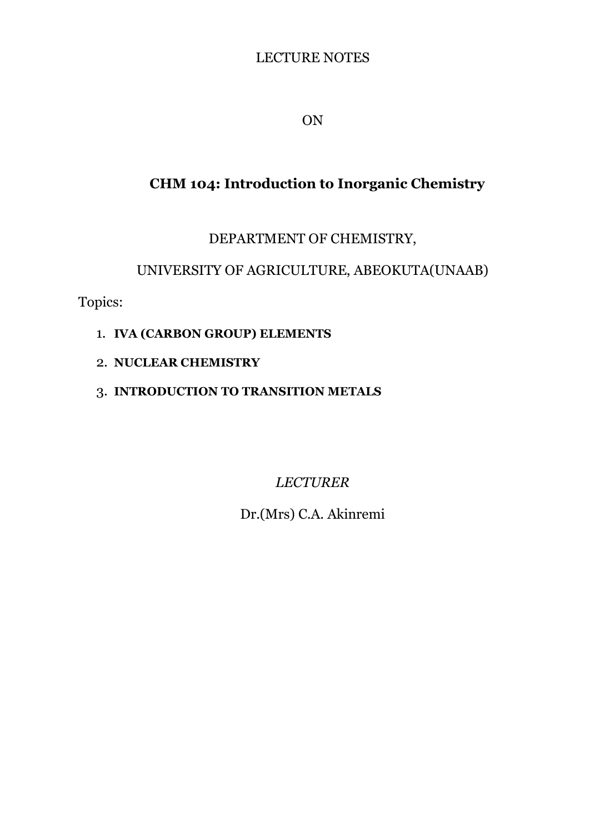# LECTURE NOTES

ON

# **CHM 104: Introduction to Inorganic Chemistry**

# DEPARTMENT OF CHEMISTRY,

# UNIVERSITY OF AGRICULTURE, ABEOKUTA(UNAAB)

Topics:

- 1. **IVA (CARBON GROUP) ELEMENTS**
- 2. **NUCLEAR CHEMISTRY**
- 3. **INTRODUCTION TO TRANSITION METALS**

*LECTURER*

Dr.(Mrs) C.A. Akinremi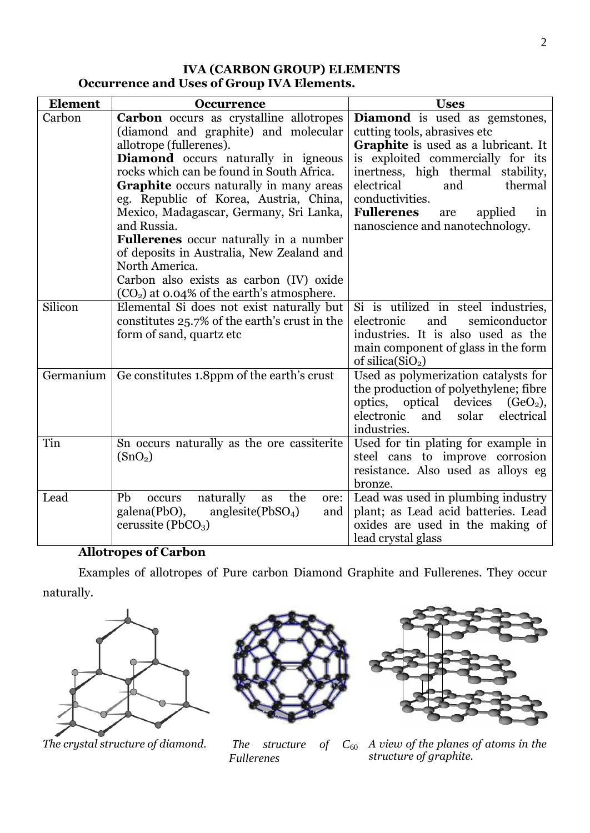# **IVA (CARBON GROUP) ELEMENTS Occurrence and Uses of Group IVA Elements.**

| <b>Element</b> | <b>Occurrence</b>                                                                                                                                                                                                                                                                                                                                                                                                                                                                                                                                                            | <b>Uses</b>                                                                                                                                                                                                                                                                                                        |  |  |  |
|----------------|------------------------------------------------------------------------------------------------------------------------------------------------------------------------------------------------------------------------------------------------------------------------------------------------------------------------------------------------------------------------------------------------------------------------------------------------------------------------------------------------------------------------------------------------------------------------------|--------------------------------------------------------------------------------------------------------------------------------------------------------------------------------------------------------------------------------------------------------------------------------------------------------------------|--|--|--|
| Carbon         | <b>Carbon</b> occurs as crystalline allotropes<br>(diamond and graphite) and molecular<br>allotrope (fullerenes).<br><b>Diamond</b> occurs naturally in igneous<br>rocks which can be found in South Africa.<br><b>Graphite</b> occurs naturally in many areas<br>eg. Republic of Korea, Austria, China,<br>Mexico, Madagascar, Germany, Sri Lanka,<br>and Russia.<br><b>Fullerenes</b> occur naturally in a number<br>of deposits in Australia, New Zealand and<br>North America.<br>Carbon also exists as carbon (IV) oxide<br>$(CO2)$ at 0.04% of the earth's atmosphere. | Diamond is used as gemstones,<br>cutting tools, abrasives etc<br>Graphite is used as a lubricant. It<br>is exploited commercially for its<br>inertness, high thermal stability,<br>electrical<br>and<br>thermal<br>conductivities.<br><b>Fullerenes</b><br>applied<br>are<br>in<br>nanoscience and nanotechnology. |  |  |  |
| Silicon        | Elemental Si does not exist naturally but<br>constitutes 25.7% of the earth's crust in the<br>form of sand, quartz etc                                                                                                                                                                                                                                                                                                                                                                                                                                                       | Si is utilized in steel industries,<br>electronic<br>and<br>semiconductor<br>industries. It is also used as the<br>main component of glass in the form<br>of silica $(SiO2)$                                                                                                                                       |  |  |  |
|                | Germanium $\vert$ Ge constitutes 1.8ppm of the earth's crust                                                                                                                                                                                                                                                                                                                                                                                                                                                                                                                 | Used as polymerization catalysts for<br>the production of polyethylene; fibre<br>optics, optical<br>devices<br>$(GeO2)$ ,<br>electronic<br>solar<br>electrical<br>and<br>industries.                                                                                                                               |  |  |  |
| Tin            | Sn occurs naturally as the ore cassiterite<br>(SnO <sub>2</sub> )                                                                                                                                                                                                                                                                                                                                                                                                                                                                                                            | Used for tin plating for example in<br>steel cans to improve corrosion<br>resistance. Also used as alloys eg<br>bronze.                                                                                                                                                                                            |  |  |  |
| Lead           | naturally<br>the<br>Pb<br>occurs<br>as<br>ore:<br>galena(PbO),<br>anglesite( $PbSO4$ )<br>and<br>cerussite (PbCO <sub>3</sub> )                                                                                                                                                                                                                                                                                                                                                                                                                                              | Lead was used in plumbing industry<br>plant; as Lead acid batteries. Lead<br>oxides are used in the making of<br>lead crystal glass                                                                                                                                                                                |  |  |  |

# **Allotropes of Carbon**

Examples of allotropes of Pure carbon Diamond Graphite and Fullerenes. They occur naturally.





*The structure of C*<sub>60</sub> *Fullerenes*



*The crystal structure of diamond. The structure of*  $C_{60}$  *A view of the planes of atoms in the structure of graphite.*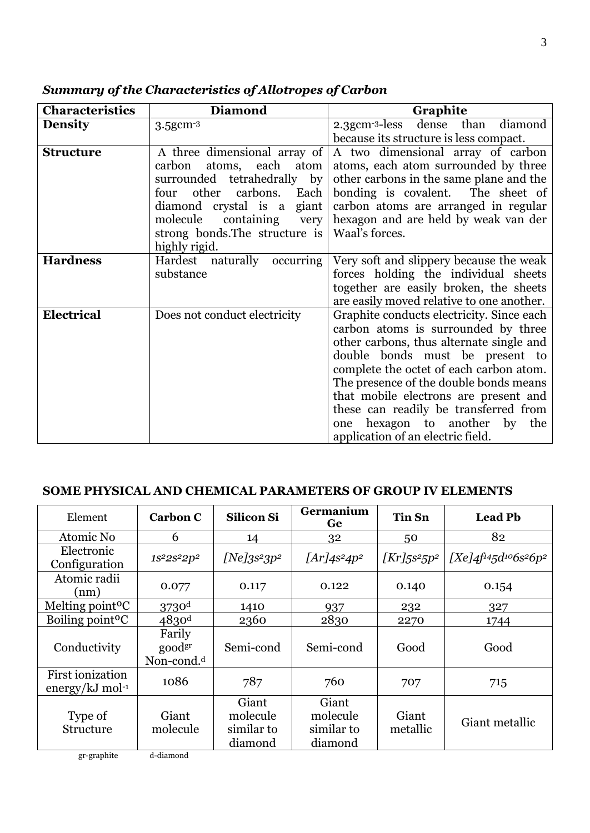| <b>Characteristics</b> | <b>Diamond</b>                                                                                                                                                                                                                                          | Graphite                                                                                                                                                                                                                                                                                                                                                                                                              |
|------------------------|---------------------------------------------------------------------------------------------------------------------------------------------------------------------------------------------------------------------------------------------------------|-----------------------------------------------------------------------------------------------------------------------------------------------------------------------------------------------------------------------------------------------------------------------------------------------------------------------------------------------------------------------------------------------------------------------|
| <b>Density</b>         | $3.5$ g $cm-3$                                                                                                                                                                                                                                          | 2.3gcm <sup>-3</sup> -less dense than diamond                                                                                                                                                                                                                                                                                                                                                                         |
|                        |                                                                                                                                                                                                                                                         | because its structure is less compact.                                                                                                                                                                                                                                                                                                                                                                                |
| <b>Structure</b>       | A three dimensional array of<br>atoms, each<br>carbon<br>atom<br>surrounded tetrahedrally<br>by<br>other<br>carbons.<br>Each<br>four<br>diamond crystal is a giant<br>molecule<br>containing<br>very<br>strong bonds. The structure is<br>highly rigid. | A two dimensional array of carbon<br>atoms, each atom surrounded by three<br>other carbons in the same plane and the<br>bonding is covalent. The sheet of<br>carbon atoms are arranged in regular<br>hexagon and are held by weak van der<br>Waal's forces.                                                                                                                                                           |
| <b>Hardness</b>        | Hardest naturally occurring<br>substance                                                                                                                                                                                                                | Very soft and slippery because the weak<br>forces holding the individual sheets<br>together are easily broken, the sheets<br>are easily moved relative to one another.                                                                                                                                                                                                                                                |
| <b>Electrical</b>      | Does not conduct electricity                                                                                                                                                                                                                            | Graphite conducts electricity. Since each<br>carbon atoms is surrounded by three<br>other carbons, thus alternate single and<br>double bonds must be present to<br>complete the octet of each carbon atom.<br>The presence of the double bonds means<br>that mobile electrons are present and<br>these can readily be transferred from<br>hexagon to another<br>the<br>by<br>one<br>application of an electric field. |

*Summary of the Characteristics of Allotropes of Carbon*

## **SOME PHYSICAL AND CHEMICAL PARAMETERS OF GROUP IV ELEMENTS**

| Element                                    | <b>Carbon C</b>                                 | <b>Silicon Si</b>                          | Germanium<br>Ge                            | <b>Tin Sn</b>         | <b>Lead Pb</b>               |
|--------------------------------------------|-------------------------------------------------|--------------------------------------------|--------------------------------------------|-----------------------|------------------------------|
| Atomic No                                  | 6                                               | 14                                         | 32                                         | 50                    | 82                           |
| Electronic<br>Configuration                | 1s <sup>2</sup> 2s <sup>2</sup> 2p <sup>2</sup> | $[Ne]$ 3s <sup>2</sup> 3p <sup>2</sup>     | $[Ar]$ 4s <sup>2</sup> 4p <sup>2</sup>     | $\frac{Kr}{5s^25p^2}$ | $[Xe]4f^{14}5d^{10}6s^26p^2$ |
| Atomic radii<br>(nm)                       | 0.077                                           | 0.117                                      | 0.122                                      | 0.140                 | 0.154                        |
| Melting point <sup>o</sup> C               | $3730$ <sup>d</sup>                             | 1410                                       | 937                                        | 232                   | 327                          |
| Boiling point <sup>o</sup> C               | $4830$ <sup>d</sup>                             | 2360                                       | 2830                                       | 2270                  | 1744                         |
| Conductivity                               | Farily<br>goodgr<br>Non-cond. <sup>d</sup>      | Semi-cond                                  | Semi-cond                                  | Good                  | Good                         |
| <b>First ionization</b><br>energy/kJ mol-1 | 1086                                            | 787                                        | 760                                        | 707                   | 715                          |
| Type of<br>Structure                       | Giant<br>molecule                               | Giant<br>molecule<br>similar to<br>diamond | Giant<br>molecule<br>similar to<br>diamond | Giant<br>metallic     | Giant metallic               |

gr-graphite d-diamond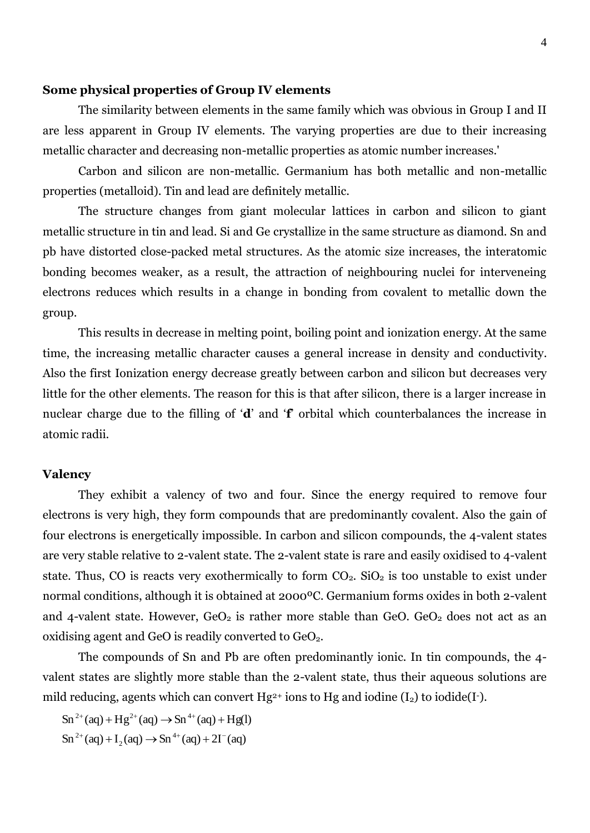#### **Some physical properties of Group IV elements**

The similarity between elements in the same family which was obvious in Group I and II are less apparent in Group IV elements. The varying properties are due to their increasing metallic character and decreasing non-metallic properties as atomic number increases.'

Carbon and silicon are non-metallic. Germanium has both metallic and non-metallic properties (metalloid). Tin and lead are definitely metallic.

The structure changes from giant molecular lattices in carbon and silicon to giant metallic structure in tin and lead. Si and Ge crystallize in the same structure as diamond. Sn and pb have distorted close-packed metal structures. As the atomic size increases, the interatomic bonding becomes weaker, as a result, the attraction of neighbouring nuclei for interveneing electrons reduces which results in a change in bonding from covalent to metallic down the group.

This results in decrease in melting point, boiling point and ionization energy. At the same time, the increasing metallic character causes a general increase in density and conductivity. Also the first Ionization energy decrease greatly between carbon and silicon but decreases very little for the other elements. The reason for this is that after silicon, there is a larger increase in nuclear charge due to the filling of '**d**' and '**f**' orbital which counterbalances the increase in atomic radii.

#### **Valency**

They exhibit a valency of two and four. Since the energy required to remove four electrons is very high, they form compounds that are predominantly covalent. Also the gain of four electrons is energetically impossible. In carbon and silicon compounds, the 4-valent states are very stable relative to 2-valent state. The 2-valent state is rare and easily oxidised to 4-valent state. Thus, CO is reacts very exothermically to form  $CO<sub>2</sub>$ . SiO<sub>2</sub> is too unstable to exist under normal conditions, although it is obtained at 2000ºC. Germanium forms oxides in both 2-valent and 4-valent state. However,  $GeO<sub>2</sub>$  is rather more stable than  $GeO<sub>2</sub>$  does not act as an oxidising agent and GeO is readily converted to  $GeO<sub>2</sub>$ .

The compounds of Sn and Pb are often predominantly ionic. In tin compounds, the 4 valent states are slightly more stable than the 2-valent state, thus their aqueous solutions are mild reducing, agents which can convert  $Hg^{2+}$  ions to  $Hg$  and iodine  $(I_2)$  to iodide(I-).

 $\text{Sn}^{2+}(\text{aq}) + \text{I}_2(\text{aq}) \rightarrow \text{Sn}^{4+}(\text{aq}) + 2\text{I}^-(\text{aq})$  $\text{Sn}^{2+}(\text{aq}) + \text{Hg}^{2+}(\text{aq}) \rightarrow \text{Sn}^{4+}(\text{aq}) + \text{Hg}(l)$ 2  $^{2+}$  (aq) + I<sub>2</sub> (aq)  $\rightarrow$  Sn<sup>4+</sup> (aq) + 2I<sup>-</sup>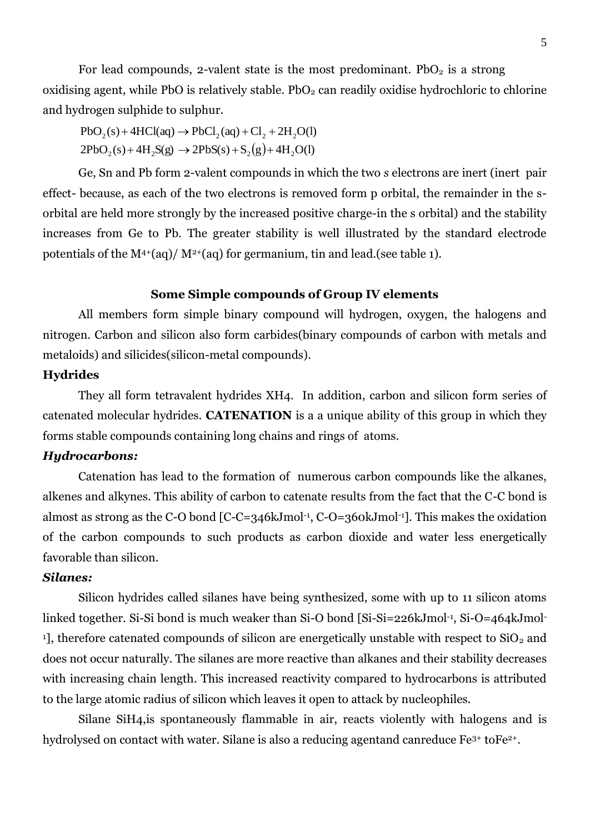For lead compounds, 2-valent state is the most predominant.  $PbO<sub>2</sub>$  is a strong oxidising agent, while PbO is relatively stable.  $PbO<sub>2</sub>$  can readily oxidise hydrochloric to chlorine and hydrogen sulphide to sulphur.

 $2PbO_2(s) + 4H_2S(g) \rightarrow 2PbS(s) + S_2(g) + 4H_2O(l)$  $PbO_2(s) + 4HCl(aq) \rightarrow PbCl_2(aq) + Cl_2 + 2H_2O(l)$ 

Ge, Sn and Pb form 2-valent compounds in which the two *s* electrons are inert (inert pair effect- because, as each of the two electrons is removed form p orbital, the remainder in the sorbital are held more strongly by the increased positive charge-in the s orbital) and the stability increases from Ge to Pb. The greater stability is well illustrated by the standard electrode potentials of the M<sup>4+</sup>(aq)/ M<sup>2+</sup>(aq) for germanium, tin and lead.(see table 1).

#### **Some Simple compounds of Group IV elements**

All members form simple binary compound will hydrogen, oxygen, the halogens and nitrogen. Carbon and silicon also form carbides(binary compounds of carbon with metals and metaloids) and silicides(silicon-metal compounds).

#### **Hydrides**

They all form tetravalent hydrides XH4. In addition, carbon and silicon form series of catenated molecular hydrides. **CATENATION** is a a unique ability of this group in which they forms stable compounds containing long chains and rings of atoms.

#### *Hydrocarbons:*

Catenation has lead to the formation of numerous carbon compounds like the alkanes, alkenes and alkynes. This ability of carbon to catenate results from the fact that the C-C bond is almost as strong as the C-O bond [C-C=346kJmol-1 , C-O=360kJmol-1]. This makes the oxidation of the carbon compounds to such products as carbon dioxide and water less energetically favorable than silicon.

## *Silanes:*

Silicon hydrides called silanes have being synthesized, some with up to 11 silicon atoms linked together. Si-Si bond is much weaker than Si-O bond [Si-Si=226kJmol-1 , Si-O=464kJmol-<sup>1</sup>], therefore catenated compounds of silicon are energetically unstable with respect to  $SiO<sub>2</sub>$  and does not occur naturally. The silanes are more reactive than alkanes and their stability decreases with increasing chain length. This increased reactivity compared to hydrocarbons is attributed to the large atomic radius of silicon which leaves it open to attack by nucleophiles.

Silane SiH4,is spontaneously flammable in air, reacts violently with halogens and is hydrolysed on contact with water. Silane is also a reducing agentand canreduce Fe<sup>3+</sup> toFe<sup>2+</sup>.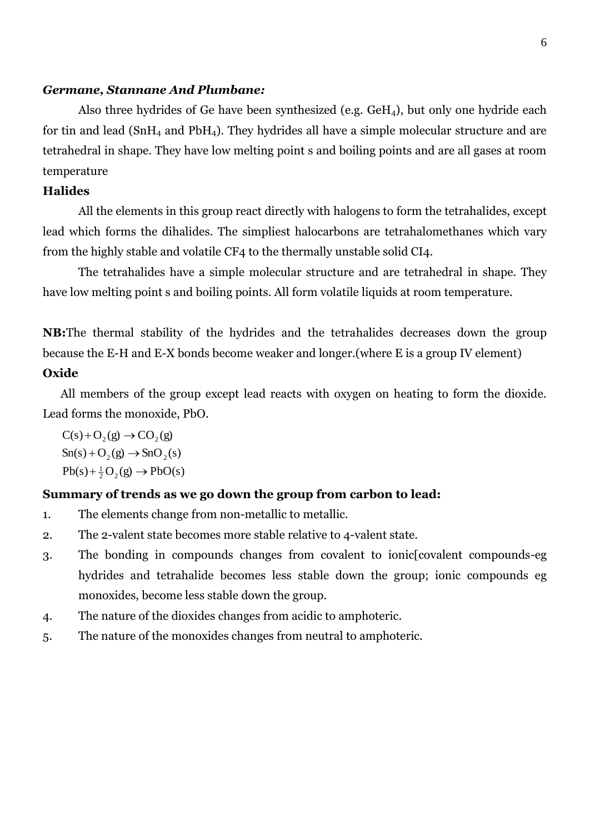#### *Germane, Stannane And Plumbane:*

Also three hydrides of Ge have been synthesized (e.g.  $GeH<sub>4</sub>$ ), but only one hydride each for tin and lead  $(SnH<sub>4</sub>$  and PbH<sub>4</sub>). They hydrides all have a simple molecular structure and are tetrahedral in shape. They have low melting point s and boiling points and are all gases at room temperature

# **Halides**

All the elements in this group react directly with halogens to form the tetrahalides, except lead which forms the dihalides. The simpliest halocarbons are tetrahalomethanes which vary from the highly stable and volatile CF4 to the thermally unstable solid CI4.

The tetrahalides have a simple molecular structure and are tetrahedral in shape. They have low melting point s and boiling points. All form volatile liquids at room temperature.

**NB:**The thermal stability of the hydrides and the tetrahalides decreases down the group because the E-H and E-X bonds become weaker and longer.(where E is a group IV element) **Oxide**

All members of the group except lead reacts with oxygen on heating to form the dioxide. Lead forms the monoxide, PbO.

 $Pb(s) + \frac{1}{2}O_2(g) \rightarrow PbO(s)$  $Sn(s) + O_2(g) \rightarrow SnO_2(s)$  $C(s) + O_2(g) \rightarrow CO_2(g)$ 

#### **Summary of trends as we go down the group from carbon to lead:**

- 1. The elements change from non-metallic to metallic.
- 2. The 2-valent state becomes more stable relative to 4-valent state.
- 3. The bonding in compounds changes from covalent to ionic[covalent compounds-eg hydrides and tetrahalide becomes less stable down the group; ionic compounds eg monoxides, become less stable down the group.
- 4. The nature of the dioxides changes from acidic to amphoteric.
- 5. The nature of the monoxides changes from neutral to amphoteric.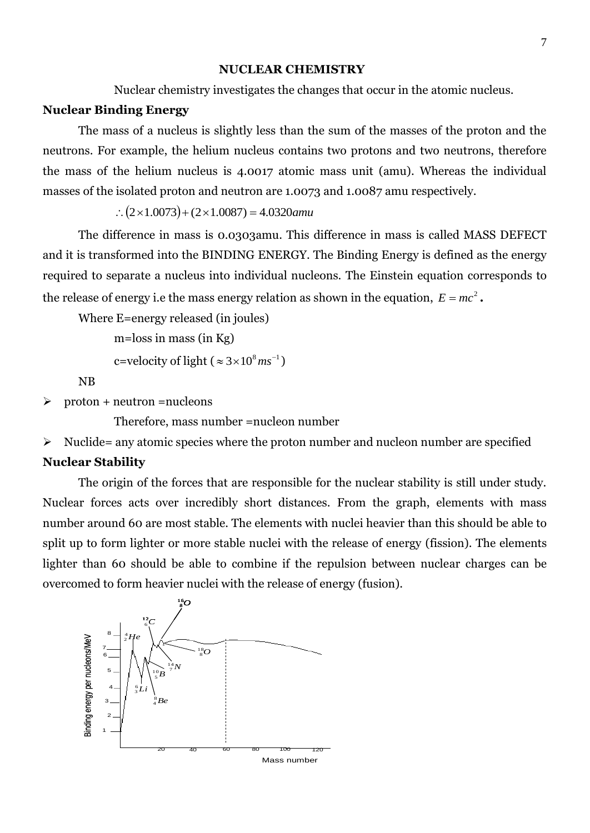#### **NUCLEAR CHEMISTRY**

Nuclear chemistry investigates the changes that occur in the atomic nucleus.

#### **Nuclear Binding Energy**

The mass of a nucleus is slightly less than the sum of the masses of the proton and the neutrons. For example, the helium nucleus contains two protons and two neutrons, therefore the mass of the helium nucleus is 4.0017 atomic mass unit (amu). Whereas the individual masses of the isolated proton and neutron are 1.0073 and 1.0087 amu respectively.

 $(2 \times 1.0073) + (2 \times 1.0087) = 4.0320$ *amu* 

The difference in mass is 0.0303amu. This difference in mass is called MASS DEFECT and it is transformed into the BINDING ENERGY. The Binding Energy is defined as the energy required to separate a nucleus into individual nucleons. The Einstein equation corresponds to the release of energy i.e the mass energy relation as shown in the equation,  $E = mc^2$ .

Where E=energy released (in joules)

```
m=loss in mass (in Kg)
```

```
c=velocity of light (\approx 3 \times 10^8 \text{ ms}^{-1})
```
NB

```
\triangleright proton + neutron = nucleons
```
Therefore, mass number =nucleon number

 $\triangleright$  Nuclide= any atomic species where the proton number and nucleon number are specified

#### **Nuclear Stability**

The origin of the forces that are responsible for the nuclear stability is still under study. Nuclear forces acts over incredibly short distances. From the graph, elements with mass number around 60 are most stable. The elements with nuclei heavier than this should be able to split up to form lighter or more stable nuclei with the release of energy (fission). The elements lighter than 60 should be able to combine if the repulsion between nuclear charges can be overcomed to form heavier nuclei with the release of energy (fusion).

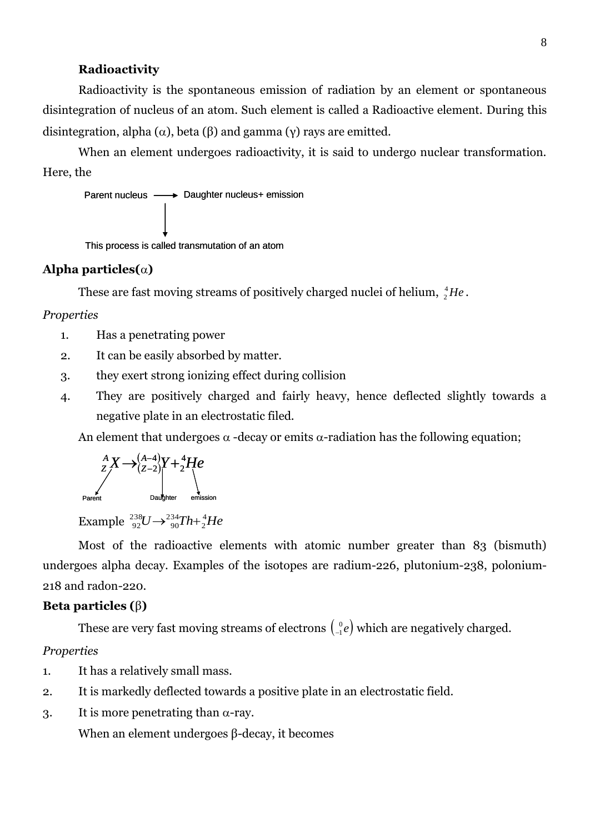#### **Radioactivity**

Radioactivity is the spontaneous emission of radiation by an element or spontaneous disintegration of nucleus of an atom. Such element is called a Radioactive element. During this disintegration, alpha ( $\alpha$ ), beta ( $\beta$ ) and gamma (γ) rays are emitted.

When an element undergoes radioactivity, it is said to undergo nuclear transformation. Here, the

Parent nucleus - Daughter nucleus+ emission

This process is called transmutation of an atom

#### **Alpha particles()**

These are fast moving streams of positively charged nuclei of helium,  ${}^{4}_{2}He$ .

#### *Properties*

- 1. Has a penetrating power
- 2. It can be easily absorbed by matter.
- 3. they exert strong ionizing effect during collision
- 4. They are positively charged and fairly heavy, hence deflected slightly towards a negative plate in an electrostatic filed.

An element that undergoes  $\alpha$  -decay or emits  $\alpha$ -radiation has the following equation;

$$
\sum_{Z}^{A} X \rightarrow (A-4)Y + 2He
$$
\nParent

\nDaughter

Example  ${}^{238}_{92}U \rightarrow {}^{234}_{90}Th + {}^{4}_{2}He$ 234 90  $^{238}_{92}U \rightarrow ^{234}_{90}Th+$ 

Most of the radioactive elements with atomic number greater than 83 (bismuth) undergoes alpha decay. Examples of the isotopes are radium-226, plutonium-238, polonium-218 and radon-220.

#### **Beta particles (**β**)**

These are very fast moving streams of electrons  $\begin{pmatrix} 0 \\ -e \end{pmatrix}$  $\lambda_{-1}^{0}e\big)$  which are negatively charged.

#### *Properties*

- 1. It has a relatively small mass.
- 2. It is markedly deflected towards a positive plate in an electrostatic field.
- 3. It is more penetrating than  $\alpha$ -ray.

When an element undergoes β-decay, it becomes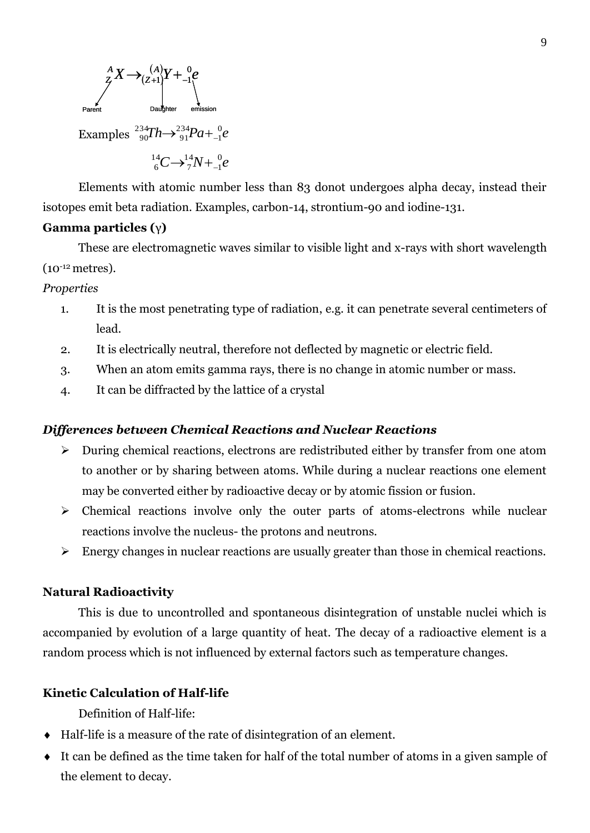

Elements with atomic number less than 83 donot undergoes alpha decay, instead their isotopes emit beta radiation. Examples, carbon-14, strontium-90 and iodine-131.

## **Gamma particles (**γ**)**

These are electromagnetic waves similar to visible light and x-rays with short wavelength (10-12 metres).

*Properties*

- 1. It is the most penetrating type of radiation, e.g. it can penetrate several centimeters of lead.
- 2. It is electrically neutral, therefore not deflected by magnetic or electric field.
- 3. When an atom emits gamma rays, there is no change in atomic number or mass.
- 4. It can be diffracted by the lattice of a crystal

#### *Differences between Chemical Reactions and Nuclear Reactions*

- During chemical reactions, electrons are redistributed either by transfer from one atom to another or by sharing between atoms. While during a nuclear reactions one element may be converted either by radioactive decay or by atomic fission or fusion.
- $\triangleright$  Chemical reactions involve only the outer parts of atoms-electrons while nuclear reactions involve the nucleus- the protons and neutrons.
- $\triangleright$  Energy changes in nuclear reactions are usually greater than those in chemical reactions.

#### **Natural Radioactivity**

This is due to uncontrolled and spontaneous disintegration of unstable nuclei which is accompanied by evolution of a large quantity of heat. The decay of a radioactive element is a random process which is not influenced by external factors such as temperature changes.

#### **Kinetic Calculation of Half-life**

Definition of Half-life:

- Half-life is a measure of the rate of disintegration of an element.
- It can be defined as the time taken for half of the total number of atoms in a given sample of the element to decay.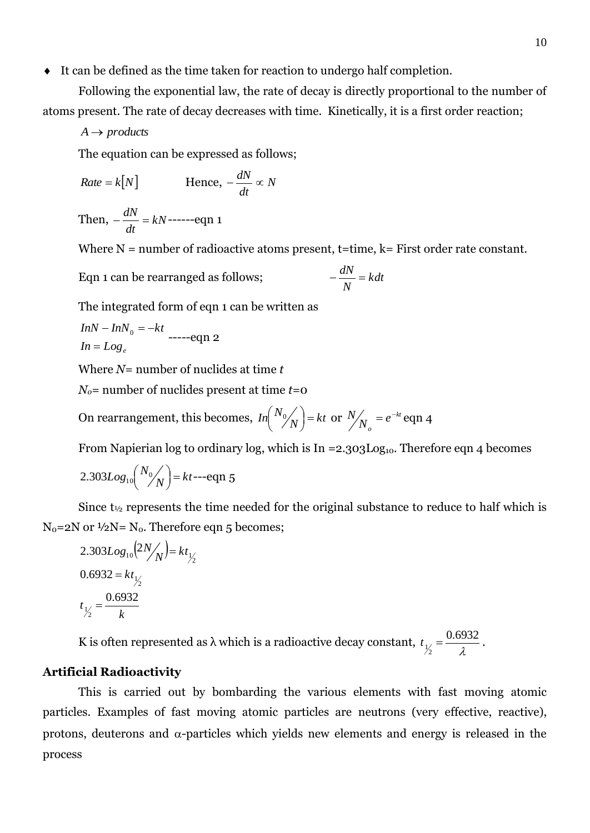It can be defined as the time taken for reaction to undergo half completion.

Following the exponential law, the rate of decay is directly proportional to the number of atoms present. The rate of decay decreases with time. Kinetically, it is a first order reaction;

 $A \rightarrow$  *products* 

The equation can be expressed as follows;

$$
Rate = k[N] \qquad \qquad \text{Hence, } -\frac{dN}{dt} \propto N
$$

Then, 
$$
-\frac{dN}{dt} = kN
$$
-----eqn 1

Where  $N =$  number of radioactive atoms present, t=time,  $k =$  First order rate constant.

*kdt*

*N*

Eqn 1 can be rearranged as follows;  $-\frac{dN}{dt}$ 

The integrated form of eqn 1 can be written as

$$
InN - InN_0 = -kt
$$
  

$$
In = Log_e
$$
 ----eqn 2

Where *N*= number of nuclides at time *t*

*No*= number of nuclides present at time *t*=0

On rearrangement, this becomes,  $\ln \left( \frac{N_0}{N} \right) = kt$  $\binom{N_0}{N}$  $\left(N_0/\sqrt{\mu}\right) = kt$  or  $N/\sqrt{\mu} = e^{-kt}$ *o*  $\alpha'$ <sub>*e*</sub> = *e*  $N/_{\mathcal{M}} = e^{-kt}$  eqn 4

From Napierian log to ordinary log, which is In  $=$  2.303Log<sub>10</sub>. Therefore eqn 4 becomes

$$
2.303Log_{10}\left(\frac{N_0}{N}\right) = kt --eqn 5
$$

Since  $t_{\frac{1}{2}}$  represents the time needed for the original substance to reduce to half which is  $N_0$ =2N or  $1/2N$ =  $N_0$ . Therefore eqn 5 becomes;

2.303
$$
Log_{10}(2N/N) = kt_{1/2}
$$
  
0.6932 =  $kt_{1/2}$   
 $t_{1/2} = \frac{0.6932}{k}$ 

K is often represented as  $\lambda$  which is a radioactive decay constant,  $t_{\frac{1}{2}} = \frac{0.05}{\lambda}$ 0.6932  $t_{\frac{1}{2}} = \frac{0.0332}{\lambda}$ .

#### **Artificial Radioactivity**

This is carried out by bombarding the various elements with fast moving atomic particles. Examples of fast moving atomic particles are neutrons (very effective, reactive), protons, deuterons and  $\alpha$ -particles which yields new elements and energy is released in the process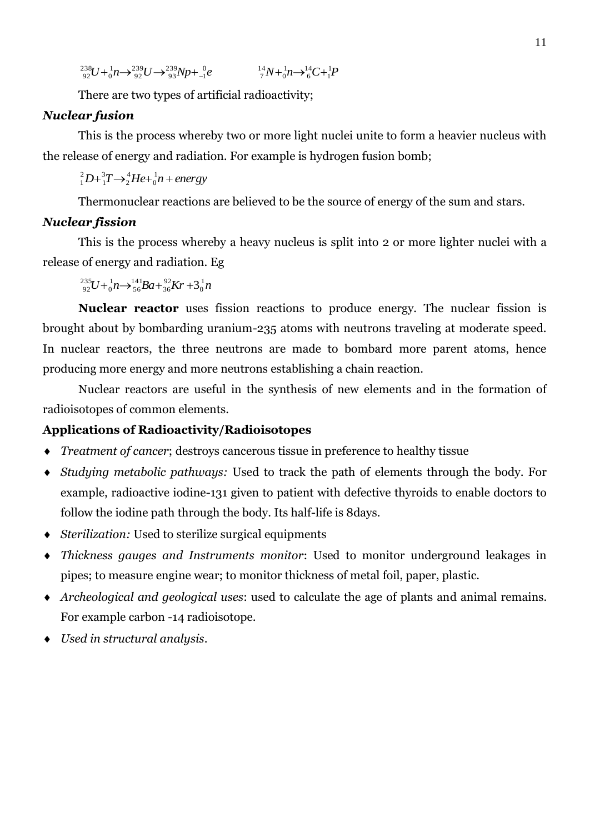$^{3}U + ^{1}_{0}n \rightarrow ^{239}_{92}U \rightarrow ^{239}_{93}Np + ^{0}_{-1}e$ 1 239 93 239 92 1  $\boldsymbol{0}$  ${}^{238}_{92}U + {}^{1}_{0}n \rightarrow {}^{239}_{92}U \rightarrow {}^{239}_{93}Np + {}^{0}_{-1}e$   ${}^{14}_{7}N + {}^{1}_{0}n \rightarrow {}^{14}_{6}C + {}^{1}_{1}P$ 1 14 6 1  $\mathbf{0}$  $^{14}_{7}N + ^{1}_{0}n \rightarrow ^{14}_{6}C +$ 

There are two types of artificial radioactivity;

# *Nuclear fusion*

This is the process whereby two or more light nuclei unite to form a heavier nucleus with the release of energy and radiation. For example is hydrogen fusion bomb;

 $D + {}_1^3T \rightarrow {}_2^4He + {}_0^1n + energy$ 0 4 2 3 1 2 1

Thermonuclear reactions are believed to be the source of energy of the sum and stars.

# *Nuclear fission*

This is the process whereby a heavy nucleus is split into 2 or more lighter nuclei with a release of energy and radiation. Eg

 ${}^{5}U + {}^{1}_{0}n \rightarrow {}^{141}_{56}Ba + {}^{92}_{36}Kr + 3{}^{1}_{0}n$  $\boldsymbol{0}$ 92 36 141 56 1  $\boldsymbol{0}$  $^{235}_{92}U + ^{1}_{0}n \rightarrow ^{141}_{56}Ba + ^{92}_{36}Kr + 3$ 

**Nuclear reactor** uses fission reactions to produce energy. The nuclear fission is brought about by bombarding uranium-235 atoms with neutrons traveling at moderate speed. In nuclear reactors, the three neutrons are made to bombard more parent atoms, hence producing more energy and more neutrons establishing a chain reaction.

Nuclear reactors are useful in the synthesis of new elements and in the formation of radioisotopes of common elements.

# **Applications of Radioactivity/Radioisotopes**

- *Treatment of cancer*; destroys cancerous tissue in preference to healthy tissue
- *Studying metabolic pathways:* Used to track the path of elements through the body. For example, radioactive iodine-131 given to patient with defective thyroids to enable doctors to follow the iodine path through the body. Its half-life is 8days.
- *Sterilization:* Used to sterilize surgical equipments
- *Thickness gauges and Instruments monitor*: Used to monitor underground leakages in pipes; to measure engine wear; to monitor thickness of metal foil, paper, plastic.
- *Archeological and geological uses*: used to calculate the age of plants and animal remains. For example carbon -14 radioisotope.
- *Used in structural analysis*.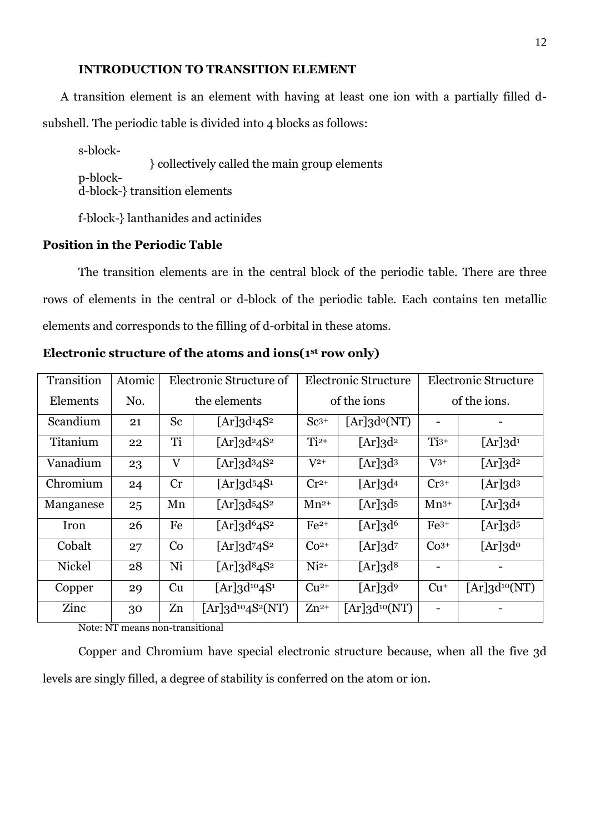## **INTRODUCTION TO TRANSITION ELEMENT**

A transition element is an element with having at least one ion with a partially filled dsubshell. The periodic table is divided into 4 blocks as follows:

s-block- } collectively called the main group elements p-blockd-block-} transition elements

f-block-} lanthanides and actinides

# **Position in the Periodic Table**

The transition elements are in the central block of the periodic table. There are three rows of elements in the central or d-block of the periodic table. Each contains ten metallic elements and corresponds to the filling of d-orbital in these atoms.

| Transition    | Atomic | Electronic Structure of |                                              | <b>Electronic Structure</b> |                              | <b>Electronic Structure</b> |                              |
|---------------|--------|-------------------------|----------------------------------------------|-----------------------------|------------------------------|-----------------------------|------------------------------|
| Elements      | No.    | the elements            |                                              | of the ions                 |                              | of the ions.                |                              |
| Scandium      | 21     | Sc                      | $[Ar]$ 3d <sup>1</sup> 4S <sup>2</sup>       | $Sc^{3+}$                   | $[Ar]$ 3d <sup>o</sup> (NT)  |                             |                              |
| Titanium      | 22     | Ti                      | $[Ar]$ 3d <sup>2</sup> 4S <sup>2</sup>       | $Ti2+$                      | $[Ar]$ 3d <sup>2</sup>       | $Ti^{3+}$                   | $[Ar]$ 3d <sup>1</sup>       |
| Vanadium      | 23     | $\rm V$                 | [Ar] $3d^34S^2$                              | $\rm V^{2+}$                | $[Ar]3d^3$                   | $V^{3+}$                    | $[Ar]$ 3d <sup>2</sup>       |
| Chromium      | 24     | Cr                      | $[Ar]$ 3d <sup>5</sup> 4S <sup>1</sup>       | $Cr^{2+}$                   | $[Ar]$ 3d <sup>4</sup>       | $Cr^{3+}$                   | $[Ar]$ 3 $d^3$               |
| Manganese     | 25     | Mn                      | $[Ar]$ 3d <sup>5</sup> 4S <sup>2</sup>       | $Mn^{2+}$                   | $[Ar]$ 3 $d$ <sup>5</sup>    | $Mn^{3+}$                   | $[Ar]$ 3d <sup>4</sup>       |
| Iron          | 26     | Fe                      | [Ar] $3d64S2$                                | $Fe2+$                      | $[Ar]$ 3d <sup>6</sup>       | $Fe3+$                      | $[Ar]$ 3 $d$ <sup>5</sup>    |
| Cobalt        | 27     | Co                      | [Ar] $3d^74S^2$                              | $Co2+$                      | $[Ar]$ 3d <sup>7</sup>       | $Co3+$                      | $[Ar]$ 3 $d^o$               |
| <b>Nickel</b> | 28     | Ni                      | [Ar] $3d^84S^2$                              | $Ni2+$                      | $[Ar]$ 3 $d^8$               |                             |                              |
| Copper        | 29     | Cu                      | $[Ar]3d^{10}4S^1$                            | $Cu2+$                      | $[Ar]$ 3d <sup>9</sup>       | $Cu+$                       | $[Ar]$ 3d <sup>10</sup> (NT) |
| Zinc          | 30     | Zn                      | $[Ar]$ 3d <sup>10</sup> 4S <sup>2</sup> (NT) | $Zn^{2+}$                   | $[Ar]$ 3d <sup>10</sup> (NT) |                             |                              |

**Electronic structure of the atoms and ions(1st row only)**

Note: NT means non-transitional

Copper and Chromium have special electronic structure because, when all the five 3d levels are singly filled, a degree of stability is conferred on the atom or ion.